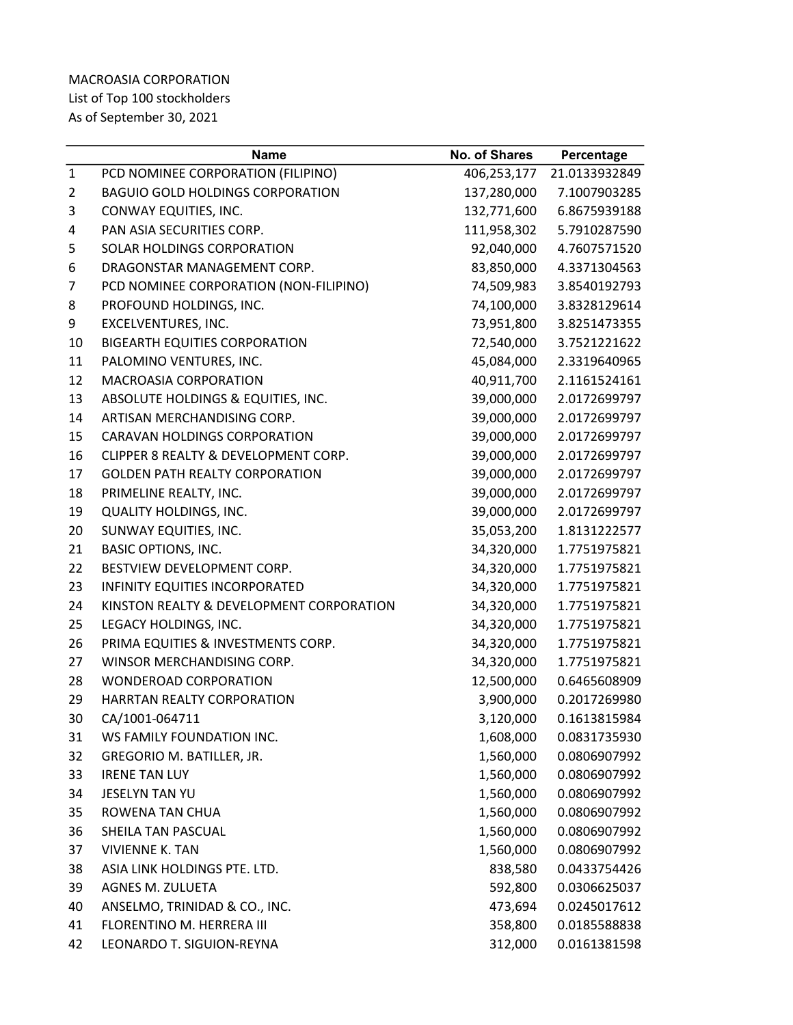## MACROASIA CORPORATION List of Top 100 stockholders As of September 30, 2021

|                | <b>Name</b>                              | <b>No. of Shares</b> | Percentage    |
|----------------|------------------------------------------|----------------------|---------------|
| $\mathbf{1}$   | PCD NOMINEE CORPORATION (FILIPINO)       | 406,253,177          | 21.0133932849 |
| $\overline{2}$ | <b>BAGUIO GOLD HOLDINGS CORPORATION</b>  | 137,280,000          | 7.1007903285  |
| 3              | CONWAY EQUITIES, INC.                    | 132,771,600          | 6.8675939188  |
| 4              | PAN ASIA SECURITIES CORP.                | 111,958,302          | 5.7910287590  |
| 5              | SOLAR HOLDINGS CORPORATION               | 92,040,000           | 4.7607571520  |
| 6              | DRAGONSTAR MANAGEMENT CORP.              | 83,850,000           | 4.3371304563  |
| 7              | PCD NOMINEE CORPORATION (NON-FILIPINO)   | 74,509,983           | 3.8540192793  |
| 8              | PROFOUND HOLDINGS, INC.                  | 74,100,000           | 3.8328129614  |
| 9              | EXCELVENTURES, INC.                      | 73,951,800           | 3.8251473355  |
| 10             | <b>BIGEARTH EQUITIES CORPORATION</b>     | 72,540,000           | 3.7521221622  |
| 11             | PALOMINO VENTURES, INC.                  | 45,084,000           | 2.3319640965  |
| 12             | <b>MACROASIA CORPORATION</b>             | 40,911,700           | 2.1161524161  |
| 13             | ABSOLUTE HOLDINGS & EQUITIES, INC.       | 39,000,000           | 2.0172699797  |
| 14             | ARTISAN MERCHANDISING CORP.              | 39,000,000           | 2.0172699797  |
| 15             | <b>CARAVAN HOLDINGS CORPORATION</b>      | 39,000,000           | 2.0172699797  |
| 16             | CLIPPER 8 REALTY & DEVELOPMENT CORP.     | 39,000,000           | 2.0172699797  |
| 17             | <b>GOLDEN PATH REALTY CORPORATION</b>    | 39,000,000           | 2.0172699797  |
| 18             | PRIMELINE REALTY, INC.                   | 39,000,000           | 2.0172699797  |
| 19             | <b>QUALITY HOLDINGS, INC.</b>            | 39,000,000           | 2.0172699797  |
| 20             | SUNWAY EQUITIES, INC.                    | 35,053,200           | 1.8131222577  |
| 21             | <b>BASIC OPTIONS, INC.</b>               | 34,320,000           | 1.7751975821  |
| 22             | BESTVIEW DEVELOPMENT CORP.               | 34,320,000           | 1.7751975821  |
| 23             | INFINITY EQUITIES INCORPORATED           | 34,320,000           | 1.7751975821  |
| 24             | KINSTON REALTY & DEVELOPMENT CORPORATION | 34,320,000           | 1.7751975821  |
| 25             | LEGACY HOLDINGS, INC.                    | 34,320,000           | 1.7751975821  |
| 26             | PRIMA EQUITIES & INVESTMENTS CORP.       | 34,320,000           | 1.7751975821  |
| 27             | WINSOR MERCHANDISING CORP.               | 34,320,000           | 1.7751975821  |
| 28             | WONDEROAD CORPORATION                    | 12,500,000           | 0.6465608909  |
| 29             | HARRTAN REALTY CORPORATION               | 3,900,000            | 0.2017269980  |
| 30             | CA/1001-064711                           | 3,120,000            | 0.1613815984  |
| 31             | WS FAMILY FOUNDATION INC.                | 1,608,000            | 0.0831735930  |
| 32             | GREGORIO M. BATILLER, JR.                | 1,560,000            | 0.0806907992  |
| 33             | <b>IRENE TAN LUY</b>                     | 1,560,000            | 0.0806907992  |
| 34             | <b>JESELYN TAN YU</b>                    | 1,560,000            | 0.0806907992  |
| 35             | ROWENA TAN CHUA                          | 1,560,000            | 0.0806907992  |
| 36             | SHEILA TAN PASCUAL                       | 1,560,000            | 0.0806907992  |
| 37             | <b>VIVIENNE K. TAN</b>                   | 1,560,000            | 0.0806907992  |
| 38             | ASIA LINK HOLDINGS PTE. LTD.             | 838,580              | 0.0433754426  |
| 39             | AGNES M. ZULUETA                         | 592,800              | 0.0306625037  |
| 40             | ANSELMO, TRINIDAD & CO., INC.            | 473,694              | 0.0245017612  |
| 41             | FLORENTINO M. HERRERA III                | 358,800              | 0.0185588838  |
| 42             | LEONARDO T. SIGUION-REYNA                | 312,000              | 0.0161381598  |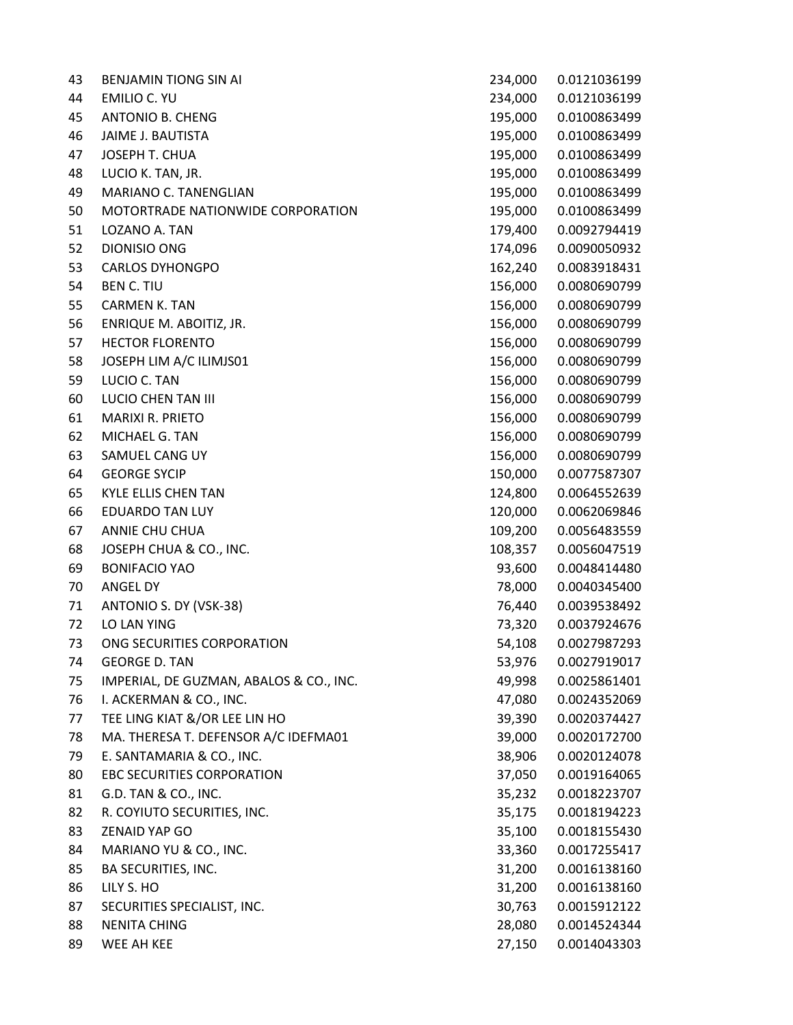| 43 | <b>BENJAMIN TIONG SIN AI</b>            | 234,000 | 0.0121036199 |
|----|-----------------------------------------|---------|--------------|
| 44 | <b>EMILIO C. YU</b>                     | 234,000 | 0.0121036199 |
| 45 | <b>ANTONIO B. CHENG</b>                 | 195,000 | 0.0100863499 |
| 46 | JAIME J. BAUTISTA                       | 195,000 | 0.0100863499 |
| 47 | JOSEPH T. CHUA                          | 195,000 | 0.0100863499 |
| 48 | LUCIO K. TAN, JR.                       | 195,000 | 0.0100863499 |
| 49 | MARIANO C. TANENGLIAN                   | 195,000 | 0.0100863499 |
| 50 | MOTORTRADE NATIONWIDE CORPORATION       | 195,000 | 0.0100863499 |
| 51 | LOZANO A. TAN                           | 179,400 | 0.0092794419 |
| 52 | <b>DIONISIO ONG</b>                     | 174,096 | 0.0090050932 |
| 53 | <b>CARLOS DYHONGPO</b>                  | 162,240 | 0.0083918431 |
| 54 | <b>BEN C. TIU</b>                       | 156,000 | 0.0080690799 |
| 55 | <b>CARMEN K. TAN</b>                    | 156,000 | 0.0080690799 |
| 56 | ENRIQUE M. ABOITIZ, JR.                 | 156,000 | 0.0080690799 |
| 57 | <b>HECTOR FLORENTO</b>                  | 156,000 | 0.0080690799 |
| 58 | JOSEPH LIM A/C ILIMJS01                 | 156,000 | 0.0080690799 |
| 59 | LUCIO C. TAN                            | 156,000 | 0.0080690799 |
| 60 | LUCIO CHEN TAN III                      | 156,000 | 0.0080690799 |
| 61 | MARIXI R. PRIETO                        | 156,000 | 0.0080690799 |
| 62 | MICHAEL G. TAN                          | 156,000 | 0.0080690799 |
| 63 | SAMUEL CANG UY                          | 156,000 | 0.0080690799 |
| 64 | <b>GEORGE SYCIP</b>                     | 150,000 | 0.0077587307 |
| 65 | <b>KYLE ELLIS CHEN TAN</b>              | 124,800 | 0.0064552639 |
| 66 | <b>EDUARDO TAN LUY</b>                  | 120,000 | 0.0062069846 |
| 67 | ANNIE CHU CHUA                          | 109,200 | 0.0056483559 |
| 68 | JOSEPH CHUA & CO., INC.                 | 108,357 | 0.0056047519 |
| 69 | <b>BONIFACIO YAO</b>                    | 93,600  | 0.0048414480 |
| 70 | ANGEL DY                                | 78,000  | 0.0040345400 |
| 71 | ANTONIO S. DY (VSK-38)                  | 76,440  | 0.0039538492 |
| 72 | LO LAN YING                             | 73,320  | 0.0037924676 |
| 73 | ONG SECURITIES CORPORATION              | 54,108  | 0.0027987293 |
| 74 | <b>GEORGE D. TAN</b>                    | 53,976  | 0.0027919017 |
| 75 | IMPERIAL, DE GUZMAN, ABALOS & CO., INC. | 49,998  | 0.0025861401 |
| 76 | I. ACKERMAN & CO., INC.                 | 47,080  | 0.0024352069 |
| 77 | TEE LING KIAT &/OR LEE LIN HO           | 39,390  | 0.0020374427 |
| 78 | MA. THERESA T. DEFENSOR A/C IDEFMA01    | 39,000  | 0.0020172700 |
| 79 | E. SANTAMARIA & CO., INC.               | 38,906  | 0.0020124078 |
| 80 | <b>EBC SECURITIES CORPORATION</b>       | 37,050  | 0.0019164065 |
| 81 | G.D. TAN & CO., INC.                    | 35,232  | 0.0018223707 |
| 82 | R. COYIUTO SECURITIES, INC.             | 35,175  | 0.0018194223 |
| 83 | <b>ZENAID YAP GO</b>                    | 35,100  | 0.0018155430 |
| 84 | MARIANO YU & CO., INC.                  | 33,360  | 0.0017255417 |
| 85 | BA SECURITIES, INC.                     | 31,200  | 0.0016138160 |
| 86 | LILY S. HO                              | 31,200  | 0.0016138160 |
| 87 | SECURITIES SPECIALIST, INC.             | 30,763  | 0.0015912122 |
| 88 | <b>NENITA CHING</b>                     | 28,080  | 0.0014524344 |
| 89 | WEE AH KEE                              | 27,150  | 0.0014043303 |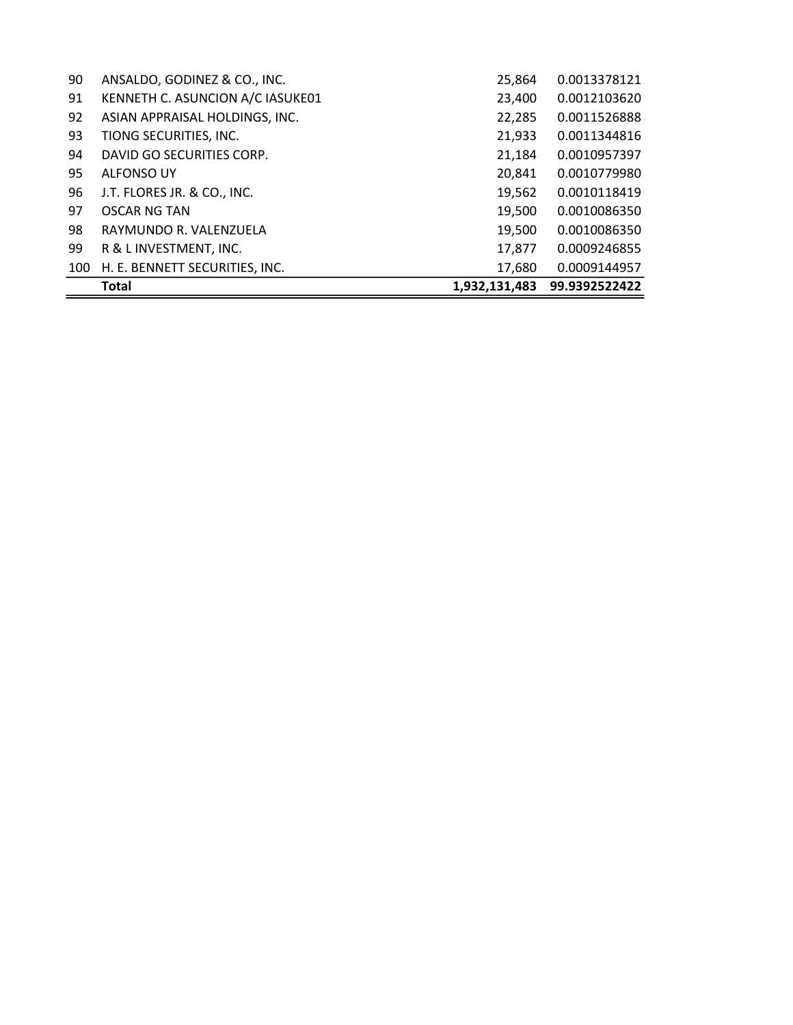|     | <b>Total</b>                     | 1,932,131,483 | 99.9392522422 |
|-----|----------------------------------|---------------|---------------|
| 100 | H. E. BENNETT SECURITIES, INC.   | 17,680        | 0.0009144957  |
| 99  | R & L INVESTMENT, INC.           | 17,877        | 0.0009246855  |
| 98  | RAYMUNDO R. VALENZUELA           | 19,500        | 0.0010086350  |
| 97  | OSCAR NG TAN                     | 19,500        | 0.0010086350  |
| 96  | J.T. FLORES JR. & CO., INC.      | 19,562        | 0.0010118419  |
| 95  | ALFONSO UY                       | 20,841        | 0.0010779980  |
| 94  | DAVID GO SECURITIES CORP.        | 21,184        | 0.0010957397  |
| 93  | TIONG SECURITIES, INC.           | 21,933        | 0.0011344816  |
| 92  | ASIAN APPRAISAL HOLDINGS, INC.   | 22,285        | 0.0011526888  |
| 91  | KENNETH C. ASUNCION A/C IASUKE01 | 23,400        | 0.0012103620  |
| 90  | ANSALDO, GODINEZ & CO., INC.     | 25,864        | 0.0013378121  |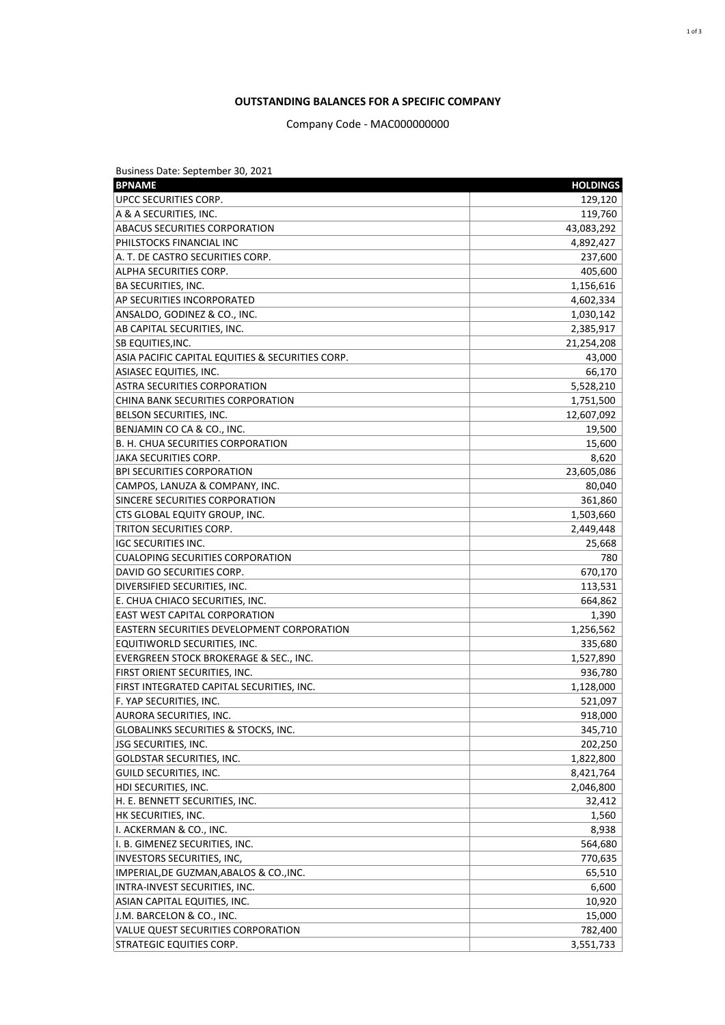## **OUTSTANDING BALANCES FOR A SPECIFIC COMPANY**

## Company Code - MAC000000000

| Business Date: September 30, 2021                 |                 |
|---------------------------------------------------|-----------------|
| <b>BPNAME</b>                                     | <b>HOLDINGS</b> |
| UPCC SECURITIES CORP.                             | 129,120         |
| A & A SECURITIES, INC.                            | 119,760         |
| <b>ABACUS SECURITIES CORPORATION</b>              | 43,083,292      |
| <b>PHILSTOCKS FINANCIAL INC</b>                   | 4,892,427       |
| A. T. DE CASTRO SECURITIES CORP.                  | 237,600         |
| ALPHA SECURITIES CORP.                            | 405,600         |
| <b>BA SECURITIES, INC.</b>                        | 1,156,616       |
| AP SECURITIES INCORPORATED                        | 4,602,334       |
| ANSALDO, GODINEZ & CO., INC.                      | 1,030,142       |
| AB CAPITAL SECURITIES, INC.                       | 2,385,917       |
| <b>SB EQUITIES, INC.</b>                          | 21,254,208      |
| ASIA PACIFIC CAPITAL EQUITIES & SECURITIES CORP.  | 43,000          |
| ASIASEC EQUITIES, INC.                            | 66,170          |
| <b>ASTRA SECURITIES CORPORATION</b>               | 5,528,210       |
| CHINA BANK SECURITIES CORPORATION                 | 1,751,500       |
| BELSON SECURITIES, INC.                           | 12,607,092      |
| BENJAMIN CO CA & CO., INC.                        | 19,500          |
| B. H. CHUA SECURITIES CORPORATION                 | 15,600          |
| JAKA SECURITIES CORP.                             | 8,620           |
| BPI SECURITIES CORPORATION                        | 23,605,086      |
| CAMPOS, LANUZA & COMPANY, INC.                    | 80,040          |
| SINCERE SECURITIES CORPORATION                    | 361,860         |
| CTS GLOBAL EQUITY GROUP, INC.                     | 1,503,660       |
| TRITON SECURITIES CORP.                           | 2,449,448       |
| <b>IGC SECURITIES INC.</b>                        | 25,668          |
| CUALOPING SECURITIES CORPORATION                  | 780             |
| DAVID GO SECURITIES CORP.                         | 670,170         |
| DIVERSIFIED SECURITIES, INC.                      | 113,531         |
| E. CHUA CHIACO SECURITIES, INC.                   | 664,862         |
| <b>EAST WEST CAPITAL CORPORATION</b>              | 1,390           |
| <b>EASTERN SECURITIES DEVELOPMENT CORPORATION</b> | 1,256,562       |
| EQUITIWORLD SECURITIES, INC.                      | 335,680         |
| EVERGREEN STOCK BROKERAGE & SEC., INC.            | 1,527,890       |
| <b>FIRST ORIENT SECURITIES, INC.</b>              | 936,780         |
| FIRST INTEGRATED CAPITAL SECURITIES, INC.         | 1,128,000       |
| F. YAP SECURITIES, INC.                           | 521,097         |
| AURORA SECURITIES, INC.                           | 918,000         |
| <b>GLOBALINKS SECURITIES &amp; STOCKS, INC.</b>   | 345,710         |
| <b>JSG SECURITIES, INC.</b>                       | 202,250         |
| GOLDSTAR SECURITIES, INC.                         | 1,822,800       |
| <b>GUILD SECURITIES, INC.</b>                     | 8,421,764       |
| HDI SECURITIES, INC.                              | 2,046,800       |
| H. E. BENNETT SECURITIES, INC.                    | 32,412          |
| HK SECURITIES, INC.                               | 1,560           |
| II. ACKERMAN & CO., INC.                          | 8,938           |
| I. B. GIMENEZ SECURITIES, INC.                    | 564,680         |
| INVESTORS SECURITIES, INC,                        | 770,635         |
| IMPERIAL,DE GUZMAN,ABALOS & CO.,INC.              | 65,510          |
| INTRA-INVEST SECURITIES, INC.                     | 6,600           |
| ASIAN CAPITAL EQUITIES, INC.                      | 10,920          |
| J.M. BARCELON & CO., INC.                         | 15,000          |
| VALUE QUEST SECURITIES CORPORATION                | 782,400         |
| <b>STRATEGIC EQUITIES CORP.</b>                   | 3,551,733       |
|                                                   |                 |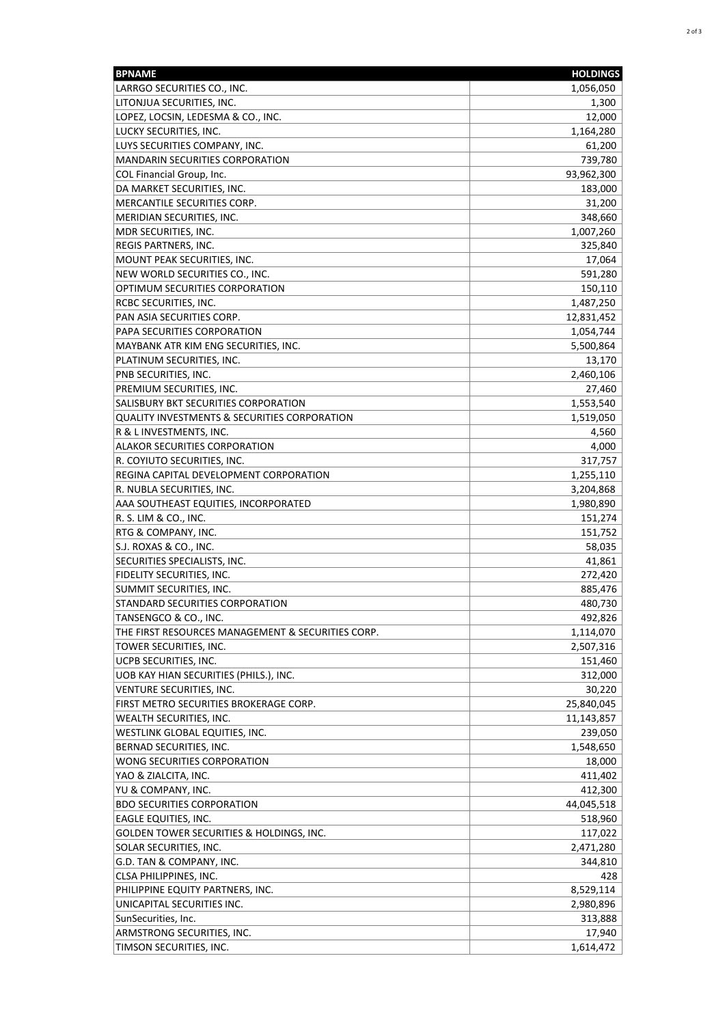| <b>BPNAME</b>                                     | <b>HOLDINGS</b> |
|---------------------------------------------------|-----------------|
| LARRGO SECURITIES CO., INC.                       | 1,056,050       |
| LITONJUA SECURITIES, INC.                         | 1,300           |
| LOPEZ, LOCSIN, LEDESMA & CO., INC.                | 12,000          |
| LUCKY SECURITIES, INC.                            | 1,164,280       |
| LUYS SECURITIES COMPANY, INC.                     | 61,200          |
| <b>MANDARIN SECURITIES CORPORATION</b>            | 739,780         |
| COL Financial Group, Inc.                         | 93,962,300      |
| DA MARKET SECURITIES, INC.                        | 183,000         |
| MERCANTILE SECURITIES CORP.                       | 31,200          |
| MERIDIAN SECURITIES, INC.                         | 348,660         |
| MDR SECURITIES, INC.                              | 1,007,260       |
| REGIS PARTNERS, INC.                              | 325,840         |
| MOUNT PEAK SECURITIES, INC.                       | 17,064          |
| NEW WORLD SECURITIES CO., INC.                    | 591,280         |
| OPTIMUM SECURITIES CORPORATION                    | 150,110         |
| RCBC SECURITIES, INC.                             | 1,487,250       |
| PAN ASIA SECURITIES CORP.                         | 12,831,452      |
| PAPA SECURITIES CORPORATION                       | 1,054,744       |
| MAYBANK ATR KIM ENG SECURITIES, INC.              | 5,500,864       |
| PLATINUM SECURITIES, INC.                         | 13,170          |
| PNB SECURITIES, INC.                              | 2,460,106       |
| PREMIUM SECURITIES, INC.                          | 27,460          |
| SALISBURY BKT SECURITIES CORPORATION              | 1,553,540       |
| QUALITY INVESTMENTS & SECURITIES CORPORATION      | 1,519,050       |
| R & L INVESTMENTS, INC.                           | 4,560           |
| ALAKOR SECURITIES CORPORATION                     | 4,000           |
| R. COYIUTO SECURITIES, INC.                       | 317,757         |
| REGINA CAPITAL DEVELOPMENT CORPORATION            | 1,255,110       |
| R. NUBLA SECURITIES, INC.                         | 3,204,868       |
| AAA SOUTHEAST EQUITIES, INCORPORATED              | 1,980,890       |
| R. S. LIM & CO., INC.                             | 151,274         |
| RTG & COMPANY, INC.                               | 151,752         |
| S.J. ROXAS & CO., INC.                            | 58,035          |
| SECURITIES SPECIALISTS, INC.                      | 41,861          |
| FIDELITY SECURITIES, INC.                         | 272,420         |
| SUMMIT SECURITIES, INC.                           | 885,476         |
| STANDARD SECURITIES CORPORATION                   | 480,730         |
| TANSENGCO & CO., INC.                             | 492,826         |
| THE FIRST RESOURCES MANAGEMENT & SECURITIES CORP. | 1,114,070       |
| TOWER SECURITIES, INC.                            | 2,507,316       |
| UCPB SECURITIES, INC.                             | 151,460         |
| UOB KAY HIAN SECURITIES (PHILS.), INC.            | 312,000         |
| VENTURE SECURITIES, INC.                          | 30,220          |
| FIRST METRO SECURITIES BROKERAGE CORP.            | 25,840,045      |
| WEALTH SECURITIES, INC.                           | 11,143,857      |
| WESTLINK GLOBAL EQUITIES, INC.                    | 239,050         |
| BERNAD SECURITIES, INC.                           | 1,548,650       |
| WONG SECURITIES CORPORATION                       | 18,000          |
| YAO & ZIALCITA, INC.                              | 411,402         |
| YU & COMPANY, INC.                                | 412,300         |
| <b>BDO SECURITIES CORPORATION</b>                 | 44,045,518      |
| EAGLE EQUITIES, INC.                              | 518,960         |
| GOLDEN TOWER SECURITIES & HOLDINGS, INC.          | 117,022         |
| SOLAR SECURITIES, INC.                            | 2,471,280       |
| G.D. TAN & COMPANY, INC.                          | 344,810         |
| CLSA PHILIPPINES, INC.                            | 428             |
| PHILIPPINE EQUITY PARTNERS, INC.                  | 8,529,114       |
| UNICAPITAL SECURITIES INC.                        | 2,980,896       |
| SunSecurities, Inc.                               | 313,888         |
| ARMSTRONG SECURITIES, INC.                        | 17,940          |
| TIMSON SECURITIES, INC.                           | 1,614,472       |